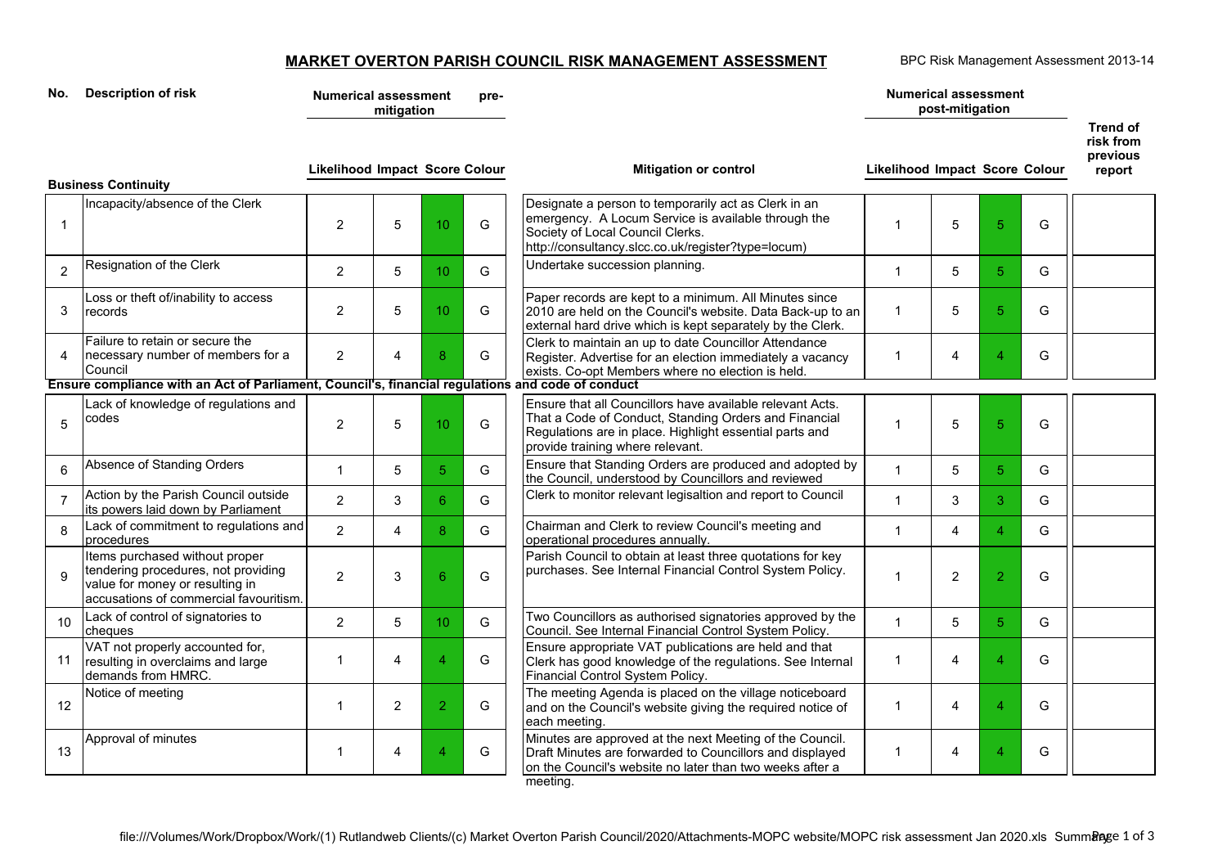## **MARKET OVERTON PARISH COUNCIL RISK MANAGEMENT ASSESSMENT**

BPC Risk Management Assessment 2013-14

| Description of risk<br>No. |                                                                                                                                                    | <b>Numerical assessment</b><br>pre-<br>mitigation |                |                 |   |                                                                                                                                                                                                                   | <b>Numerical assessment</b><br>post-mitigation |                 |                |   | Trend of                        |
|----------------------------|----------------------------------------------------------------------------------------------------------------------------------------------------|---------------------------------------------------|----------------|-----------------|---|-------------------------------------------------------------------------------------------------------------------------------------------------------------------------------------------------------------------|------------------------------------------------|-----------------|----------------|---|---------------------------------|
|                            | <b>Business Continuity</b>                                                                                                                         | <b>Likelihood Impact Score Colour</b>             |                |                 |   | <b>Mitigation or control</b>                                                                                                                                                                                      | <b>Likelihood Impact Score Colour</b>          |                 |                |   | risk from<br>previous<br>report |
| $\mathbf{1}$               | Incapacity/absence of the Clerk                                                                                                                    | 2                                                 | 5              | 10 <sup>1</sup> | G | Designate a person to temporarily act as Clerk in an<br>emergency. A Locum Service is available through the<br>Society of Local Council Clerks.<br>http://consultancy.slcc.co.uk/register?type=locum)             | 1                                              | 5               | $\overline{5}$ | G |                                 |
| $\overline{2}$             | Resignation of the Clerk                                                                                                                           | $\overline{2}$                                    | 5              | 10 <sup>°</sup> | G | Undertake succession planning.                                                                                                                                                                                    | $\mathbf{1}$                                   | 5               | 5 <sup>5</sup> | G |                                 |
| 3                          | Loss or theft of/inability to access<br>records                                                                                                    | $\overline{2}$                                    | 5              | 10 <sup>°</sup> | G | Paper records are kept to a minimum. All Minutes since<br>2010 are held on the Council's website. Data Back-up to an<br>external hard drive which is kept separately by the Clerk.                                | $\mathbf{1}$                                   | 5               | 5 <sup>5</sup> | G |                                 |
| $\overline{4}$             | Failure to retain or secure the<br>necessary number of members for a<br>Council                                                                    | 2                                                 | $\overline{4}$ | 8               | G | Clerk to maintain an up to date Councillor Attendance<br>Register. Advertise for an election immediately a vacancy<br>exists. Co-opt Members where no election is held.                                           | 1                                              | 4               | $\overline{4}$ | G |                                 |
|                            | Ensure compliance with an Act of Parliament, Council's, financial regulations and code of conduct                                                  |                                                   |                |                 |   |                                                                                                                                                                                                                   |                                                |                 |                |   |                                 |
| 5                          | Lack of knowledge of regulations and<br>codes                                                                                                      | 2                                                 | 5              | 10              | G | Ensure that all Councillors have available relevant Acts.<br>That a Code of Conduct, Standing Orders and Financial<br>Regulations are in place. Highlight essential parts and<br>provide training where relevant. | 1                                              | 5               | $\sqrt{5}$     | G |                                 |
| 6                          | Absence of Standing Orders                                                                                                                         | $\overline{1}$                                    | 5              | 5 <sup>5</sup>  | G | Ensure that Standing Orders are produced and adopted by<br>the Council, understood by Councillors and reviewed                                                                                                    | 1                                              | 5               | 5 <sup>5</sup> | G |                                 |
| $\overline{7}$             | Action by the Parish Council outside<br>its powers laid down by Parliament                                                                         | $\overline{2}$                                    | 3              | 6               | G | Clerk to monitor relevant legisaltion and report to Council                                                                                                                                                       | $\mathbf{1}$                                   | 3               | $\overline{3}$ | G |                                 |
| 8                          | Lack of commitment to regulations and<br>procedures                                                                                                | $\overline{2}$                                    | 4              | 8               | G | Chairman and Clerk to review Council's meeting and<br>operational procedures annually.                                                                                                                            | $\mathbf{1}$                                   | $\overline{4}$  | $\overline{4}$ | G |                                 |
| $\mathbf{q}$               | Items purchased without proper<br>tendering procedures, not providing<br>value for money or resulting in<br>accusations of commercial favouritism. | $\overline{2}$                                    | 3              | 6               | G | Parish Council to obtain at least three quotations for key<br>purchases. See Internal Financial Control System Policy.                                                                                            | $\overline{1}$                                 | 2               | $\overline{2}$ | G |                                 |
| 10                         | Lack of control of signatories to<br>cheques                                                                                                       | $\overline{2}$                                    | 5              | 10              | G | Two Councillors as authorised signatories approved by the<br>Council. See Internal Financial Control System Policy.                                                                                               | $\mathbf{1}$                                   | $5\phantom{.0}$ | 5 <sup>5</sup> | G |                                 |
| 11                         | VAT not properly accounted for,<br>resulting in overclaims and large<br>demands from HMRC.                                                         | $\overline{\mathbf{1}}$                           | $\overline{4}$ | Δ               | G | Ensure appropriate VAT publications are held and that<br>Clerk has good knowledge of the regulations. See Internal<br>Financial Control System Policy.                                                            | $\mathbf{1}$                                   | 4               | $\overline{4}$ | G |                                 |
| 12                         | Notice of meeting                                                                                                                                  | $\overline{1}$                                    | 2              | $\overline{2}$  | G | The meeting Agenda is placed on the village noticeboard<br>and on the Council's website giving the required notice of<br>each meeting.                                                                            | $\mathbf{1}$                                   | 4               | $\overline{4}$ | G |                                 |
| 13                         | Approval of minutes                                                                                                                                | -1                                                | 4              |                 | G | Minutes are approved at the next Meeting of the Council.<br>Draft Minutes are forwarded to Councillors and displayed<br>on the Council's website no later than two weeks after a                                  | 1                                              | 4               | $\overline{4}$ | G |                                 |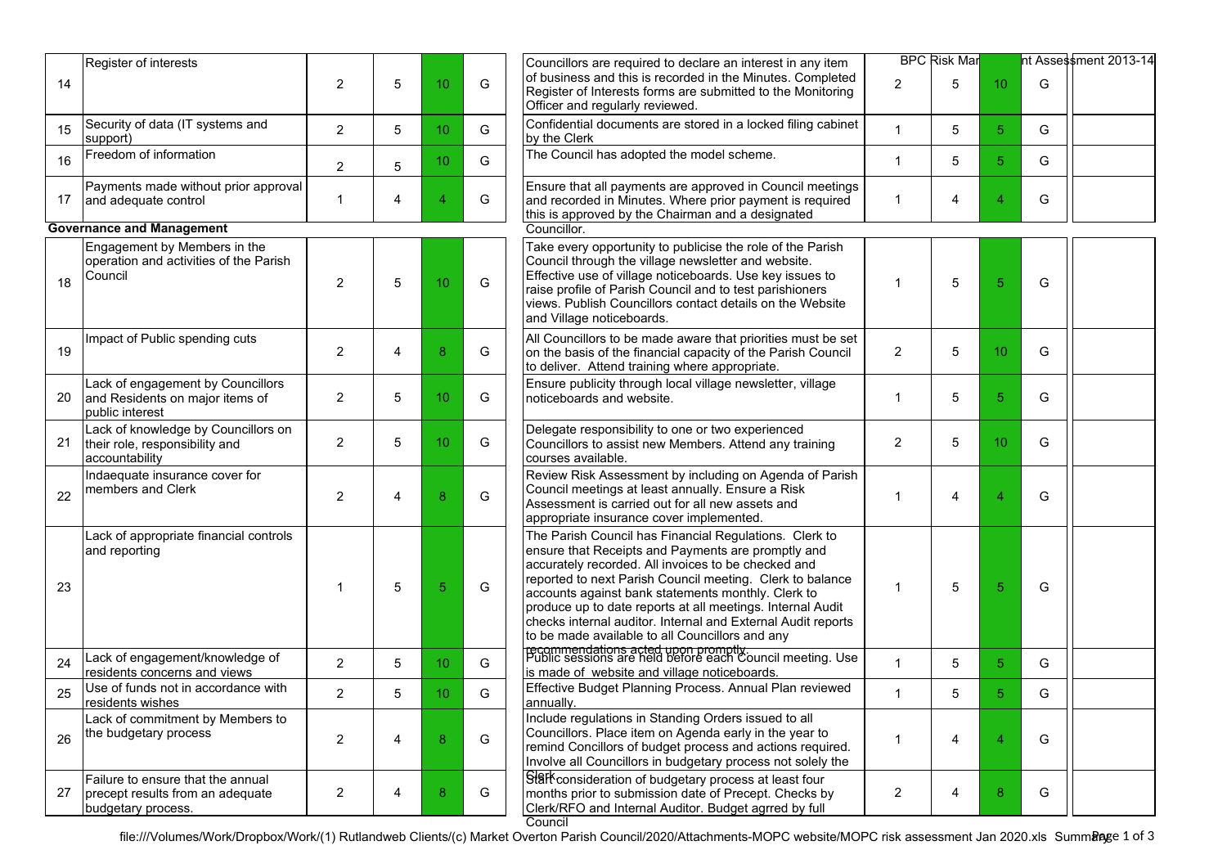| 14 | Register of interests                                                                       | $\overline{2}$ | 5 | 10              | G | Councillors are required to declare an interest in any item<br>of business and this is recorded in the Minutes. Completed<br>Register of Interests forms are submitted to the Monitoring<br>Officer and regularly reviewed.                                                                                                                                                                                                                                             | $\overline{2}$ | <b>BPC Risk Mar</b><br>5 | 10 | G | ht Assessment 2013-14 |
|----|---------------------------------------------------------------------------------------------|----------------|---|-----------------|---|-------------------------------------------------------------------------------------------------------------------------------------------------------------------------------------------------------------------------------------------------------------------------------------------------------------------------------------------------------------------------------------------------------------------------------------------------------------------------|----------------|--------------------------|----|---|-----------------------|
| 15 | Security of data (IT systems and<br>support)                                                | $\overline{2}$ | 5 | 10 <sup>°</sup> | G | Confidential documents are stored in a locked filing cabinet<br>by the Clerk                                                                                                                                                                                                                                                                                                                                                                                            | 1              | 5                        | 5  | G |                       |
| 16 | Freedom of information                                                                      | $\overline{2}$ | 5 | 10 <sup>°</sup> | G | The Council has adopted the model scheme.                                                                                                                                                                                                                                                                                                                                                                                                                               | $\mathbf{1}$   | 5                        | 5  | G |                       |
| 17 | Payments made without prior approval<br>and adequate control                                | $\mathbf{1}$   | 4 | $\overline{4}$  | G | Ensure that all payments are approved in Council meetings<br>and recorded in Minutes. Where prior payment is required<br>this is approved by the Chairman and a designated                                                                                                                                                                                                                                                                                              | $\mathbf 1$    | 4                        | 4  | G |                       |
|    | <b>Governance and Management</b>                                                            |                |   |                 |   | Councillor.                                                                                                                                                                                                                                                                                                                                                                                                                                                             |                |                          |    |   |                       |
| 18 | Engagement by Members in the<br>operation and activities of the Parish<br>Council           | $\overline{2}$ | 5 | 10              | G | Take every opportunity to publicise the role of the Parish<br>Council through the village newsletter and website.<br>Effective use of village noticeboards. Use key issues to<br>raise profile of Parish Council and to test parishioners<br>views. Publish Councillors contact details on the Website<br>and Village noticeboards.                                                                                                                                     | 1              | 5                        | 5  | G |                       |
| 19 | Impact of Public spending cuts                                                              | $\overline{2}$ | 4 | 8               | G | All Councillors to be made aware that priorities must be set<br>on the basis of the financial capacity of the Parish Council<br>to deliver. Attend training where appropriate.                                                                                                                                                                                                                                                                                          | 2              | 5                        | 10 | G |                       |
| 20 | Lack of engagement by Councillors<br>and Residents on major items of<br>public interest     | $\overline{2}$ | 5 | 10              | G | Ensure publicity through local village newsletter, village<br>noticeboards and website.                                                                                                                                                                                                                                                                                                                                                                                 | $\mathbf{1}$   | 5                        | 5  | G |                       |
| 21 | Lack of knowledge by Councillors on<br>their role, responsibility and<br>accountability     | $\overline{2}$ | 5 | 10              | G | Delegate responsibility to one or two experienced<br>Councillors to assist new Members. Attend any training<br>courses available.                                                                                                                                                                                                                                                                                                                                       | 2              | 5                        | 10 | G |                       |
| 22 | Indaequate insurance cover for<br>members and Clerk                                         | 2              | 4 | 8               | G | Review Risk Assessment by including on Agenda of Parish<br>Council meetings at least annually. Ensure a Risk<br>Assessment is carried out for all new assets and<br>appropriate insurance cover implemented.                                                                                                                                                                                                                                                            | 1              | 4                        | Δ  | G |                       |
| 23 | Lack of appropriate financial controls<br>and reporting                                     | $\mathbf{1}$   | 5 | 5               | G | The Parish Council has Financial Regulations. Clerk to<br>ensure that Receipts and Payments are promptly and<br>accurately recorded. All invoices to be checked and<br>reported to next Parish Council meeting. Clerk to balance<br>accounts against bank statements monthly. Clerk to<br>produce up to date reports at all meetings. Internal Audit<br>checks internal auditor. Internal and External Audit reports<br>to be made available to all Councillors and any | 1              | 5                        | 5  | G |                       |
| 24 | Lack of engagement/knowledge of<br>residents concerns and views                             | $\overline{2}$ | 5 | 10 <sup>°</sup> | G | recommendations acted upon promptly.<br>Public sessions are held before each Council meeting. Use<br>is made of website and village noticeboards.                                                                                                                                                                                                                                                                                                                       | $\mathbf{1}$   | 5                        | 5  | G |                       |
| 25 | Use of funds not in accordance with<br>residents wishes                                     | $\overline{2}$ | 5 | 10 <sup>°</sup> | G | Effective Budget Planning Process. Annual Plan reviewed<br>annually.                                                                                                                                                                                                                                                                                                                                                                                                    | $\mathbf{1}$   | 5                        | 5  | G |                       |
| 26 | Lack of commitment by Members to<br>the budgetary process                                   | $\overline{2}$ | 4 | 8               | G | Include regulations in Standing Orders issued to all<br>Councillors. Place item on Agenda early in the year to<br>remind Concillors of budget process and actions required.<br>Involve all Councillors in budgetary process not solely the                                                                                                                                                                                                                              | $\overline{1}$ | 4                        | 4  | G |                       |
| 27 | Failure to ensure that the annual<br>precept results from an adequate<br>budgetary process. | $\overline{2}$ | 4 | 8               | G | Stark consideration of budgetary process at least four<br>months prior to submission date of Precept. Checks by<br>Clerk/RFO and Internal Auditor. Budget agrred by full<br>Council                                                                                                                                                                                                                                                                                     | $\overline{2}$ | 4                        | 8  | G |                       |

file:///Volumes/Work/Dropbox/Work/(1) Rutlandweb Clients/(c) Market Overton Parish Council/2020/Attachments-MOPC website/MOPC risk assessment Jan 2020.xls Summangge 1 of 3